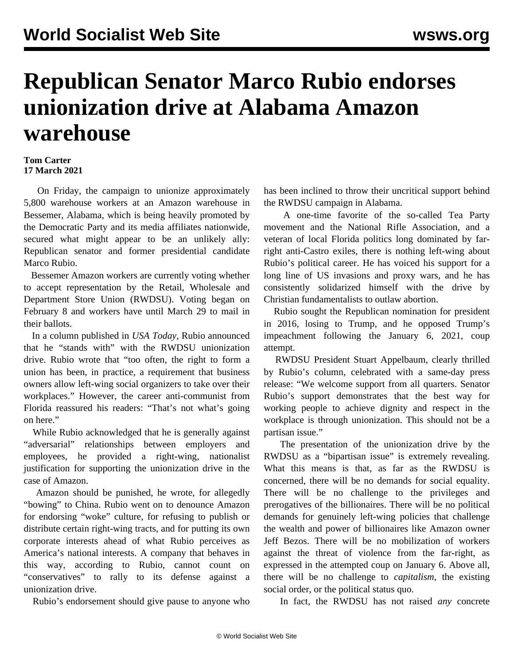## **Republican Senator Marco Rubio endorses unionization drive at Alabama Amazon warehouse**

## **Tom Carter 17 March 2021**

 On Friday, the campaign to unionize approximately 5,800 warehouse workers at an Amazon warehouse in Bessemer, Alabama, which is being heavily promoted by the Democratic Party and its media affiliates nationwide, secured what might appear to be an unlikely ally: Republican senator and former presidential candidate Marco Rubio.

 Bessemer Amazon workers are currently voting whether to accept representation by the Retail, Wholesale and Department Store Union (RWDSU). Voting began on February 8 and workers have until March 29 to mail in their ballots.

 In a column published in *USA Today*, Rubio announced that he "stands with" with the RWDSU unionization drive. Rubio wrote that "too often, the right to form a union has been, in practice, a requirement that business owners allow left-wing social organizers to take over their workplaces." However, the career anti-communist from Florida reassured his readers: "That's not what's going on here."

 While Rubio acknowledged that he is generally against "adversarial" relationships between employers and employees, he provided a right-wing, nationalist justification for supporting the unionization drive in the case of Amazon.

 Amazon should be punished, he wrote, for allegedly "bowing" to China. Rubio went on to denounce Amazon for endorsing "woke" culture, for refusing to publish or distribute certain right-wing tracts, and for putting its own corporate interests ahead of what Rubio perceives as America's national interests. A company that behaves in this way, according to Rubio, cannot count on "conservatives" to rally to its defense against a unionization drive.

Rubio's endorsement should give pause to anyone who

has been inclined to throw their uncritical support behind the RWDSU campaign in Alabama.

 A one-time favorite of the so-called Tea Party movement and the National Rifle Association, and a veteran of local Florida politics long dominated by farright anti-Castro exiles, there is nothing left-wing about Rubio's political career. He has voiced his support for a long line of US invasions and proxy wars, and he has consistently solidarized himself with the drive by Christian fundamentalists to outlaw abortion.

 Rubio sought the Republican nomination for president in 2016, losing to Trump, and he opposed Trump's impeachment following the January 6, 2021, coup attempt.

 RWDSU President Stuart Appelbaum, clearly thrilled by Rubio's column, celebrated with a same-day press release: "We welcome support from all quarters. Senator Rubio's support demonstrates that the best way for working people to achieve dignity and respect in the workplace is through unionization. This should not be a partisan issue."

 The presentation of the unionization drive by the RWDSU as a "bipartisan issue" is extremely revealing. What this means is that, as far as the RWDSU is concerned, there will be no demands for social equality. There will be no challenge to the privileges and prerogatives of the billionaires. There will be no political demands for genuinely left-wing policies that challenge the wealth and power of billionaires like Amazon owner Jeff Bezos. There will be no mobilization of workers against the threat of violence from the far-right, as expressed in the attempted coup on January 6. Above all, there will be no challenge to *capitalism*, the existing social order, or the political status quo.

In fact, the RWDSU has not raised *any* concrete